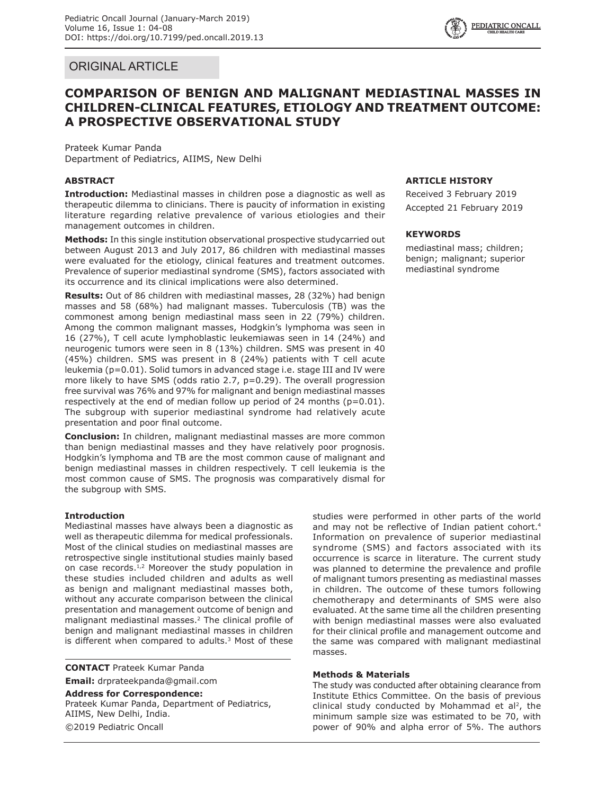# ORIGINAL ARTICLE

# **COMPARISON OF BENIGN AND MALIGNANT MEDIASTINAL MASSES IN CHILDREN-CLINICAL FEATURES, ETIOLOGY AND TREATMENT OUTCOME: A PROSPECTIVE OBSERVATIONAL STUDY**

Prateek Kumar Panda Department of Pediatrics, AIIMS, New Delhi

# **ABSTRACT**

**Introduction:** Mediastinal masses in children pose a diagnostic as well as therapeutic dilemma to clinicians. There is paucity of information in existing literature regarding relative prevalence of various etiologies and their management outcomes in children.

**Methods:** In this single institution observational prospective studycarried out between August 2013 and July 2017, 86 children with mediastinal masses were evaluated for the etiology, clinical features and treatment outcomes. Prevalence of superior mediastinal syndrome (SMS), factors associated with its occurrence and its clinical implications were also determined.

**Results:** Out of 86 children with mediastinal masses, 28 (32%) had benign masses and 58 (68%) had malignant masses. Tuberculosis (TB) was the commonest among benign mediastinal mass seen in 22 (79%) children. Among the common malignant masses, Hodgkin's lymphoma was seen in 16 (27%), T cell acute lymphoblastic leukemiawas seen in 14 (24%) and neurogenic tumors were seen in 8 (13%) children. SMS was present in 40 (45%) children. SMS was present in 8 (24%) patients with T cell acute leukemia (p=0.01). Solid tumors in advanced stage i.e. stage III and IV were more likely to have SMS (odds ratio 2.7, p=0.29). The overall progression free survival was 76% and 97% for malignant and benign mediastinal masses respectively at the end of median follow up period of 24 months  $(p=0.01)$ . The subgroup with superior mediastinal syndrome had relatively acute presentation and poor final outcome.

**Conclusion:** In children, malignant mediastinal masses are more common than benign mediastinal masses and they have relatively poor prognosis. Hodgkin's lymphoma and TB are the most common cause of malignant and benign mediastinal masses in children respectively. T cell leukemia is the most common cause of SMS. The prognosis was comparatively dismal for the subgroup with SMS.

## **Introduction**

Mediastinal masses have always been a diagnostic as well as therapeutic dilemma for medical professionals. Most of the clinical studies on mediastinal masses are retrospective single institutional studies mainly based on case records.<sup>1,2</sup> Moreover the study population in these studies included children and adults as well as benign and malignant mediastinal masses both, without any accurate comparison between the clinical presentation and management outcome of benign and malignant mediastinal masses.<sup>2</sup> The clinical profile of benign and malignant mediastinal masses in children is different when compared to adults.<sup>3</sup> Most of these

**CONTACT** Prateek Kumar Panda **Email:** drprateekpanda@gmail.com

**Address for Correspondence:** Prateek Kumar Panda, Department of Pediatrics, AIIMS, New Delhi, India. ©2019 Pediatric Oncall

# **ARTICLE HISTORY**

Received 3 February 2019 Accepted 21 February 2019

### **KEYWORDS**

mediastinal mass; children; benign; malignant; superior mediastinal syndrome

studies were performed in other parts of the world and may not be reflective of Indian patient cohort.<sup>4</sup> Information on prevalence of superior mediastinal syndrome (SMS) and factors associated with its occurrence is scarce in literature. The current study was planned to determine the prevalence and profile of malignant tumors presenting as mediastinal masses in children. The outcome of these tumors following chemotherapy and determinants of SMS were also evaluated. At the same time all the children presenting with benign mediastinal masses were also evaluated for their clinical profile and management outcome and the same was compared with malignant mediastinal masses.

## **Methods & Materials**

The study was conducted after obtaining clearance from Institute Ethics Committee. On the basis of previous clinical study conducted by Mohammad et al<sup>2</sup>, the minimum sample size was estimated to be 70, with power of 90% and alpha error of 5%. The authors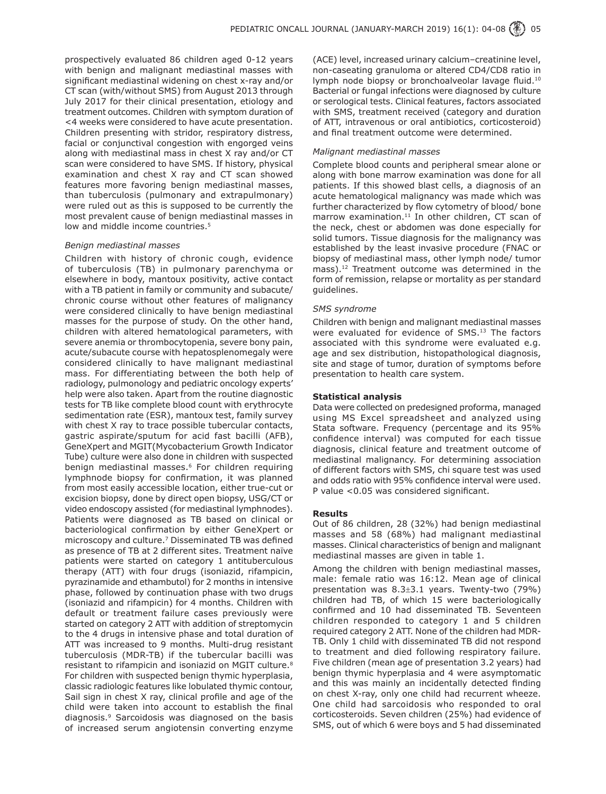prospectively evaluated 86 children aged 0-12 years with benign and malignant mediastinal masses with significant mediastinal widening on chest x-ray and/or CT scan (with/without SMS) from August 2013 through July 2017 for their clinical presentation, etiology and treatment outcomes. Children with symptom duration of <4 weeks were considered to have acute presentation. Children presenting with stridor, respiratory distress, facial or conjunctival congestion with engorged veins along with mediastinal mass in chest X ray and/or CT scan were considered to have SMS. If history, physical examination and chest X ray and CT scan showed features more favoring benign mediastinal masses, than tuberculosis (pulmonary and extrapulmonary) were ruled out as this is supposed to be currently the most prevalent cause of benign mediastinal masses in low and middle income countries.<sup>5</sup>

#### *Benign mediastinal masses*

Children with history of chronic cough, evidence of tuberculosis (TB) in pulmonary parenchyma or elsewhere in body, mantoux positivity, active contact with a TB patient in family or community and subacute/ chronic course without other features of malignancy were considered clinically to have benign mediastinal masses for the purpose of study. On the other hand, children with altered hematological parameters, with severe anemia or thrombocytopenia, severe bony pain, acute/subacute course with hepatosplenomegaly were considered clinically to have malignant mediastinal mass. For differentiating between the both help of radiology, pulmonology and pediatric oncology experts' help were also taken. Apart from the routine diagnostic tests for TB like complete blood count with erythrocyte sedimentation rate (ESR), mantoux test, family survey with chest X ray to trace possible tubercular contacts, gastric aspirate/sputum for acid fast bacilli (AFB), GeneXpert and MGIT(Mycobacterium Growth Indicator Tube) culture were also done in children with suspected benign mediastinal masses.<sup>6</sup> For children requiring lymphnode biopsy for confirmation, it was planned from most easily accessible location, either true-cut or excision biopsy, done by direct open biopsy, USG/CT or video endoscopy assisted (for mediastinal lymphnodes). Patients were diagnosed as TB based on clinical or bacteriological confirmation by either GeneXpert or microscopy and culture.<sup>7</sup> Disseminated TB was defined as presence of TB at 2 different sites. Treatment naïve patients were started on category 1 antituberculous therapy (ATT) with four drugs (isoniazid, rifampicin, pyrazinamide and ethambutol) for 2 months in intensive phase, followed by continuation phase with two drugs (isoniazid and rifampicin) for 4 months. Children with default or treatment failure cases previously were started on category 2 ATT with addition of streptomycin to the 4 drugs in intensive phase and total duration of ATT was increased to 9 months. Multi-drug resistant tuberculosis (MDR-TB) if the tubercular bacilli was resistant to rifampicin and isoniazid on MGIT culture.8 For children with suspected benign thymic hyperplasia, classic radiologic features like lobulated thymic contour, Sail sign in chest X ray, clinical profile and age of the child were taken into account to establish the final diagnosis.9 Sarcoidosis was diagnosed on the basis of increased serum angiotensin converting enzyme

(ACE) level, increased urinary calcium–creatinine level, non-caseating granuloma or altered CD4/CD8 ratio in lymph node biopsy or bronchoalveolar lavage fluid.<sup>10</sup> Bacterial or fungal infections were diagnosed by culture or serological tests. Clinical features, factors associated with SMS, treatment received (category and duration of ATT, intravenous or oral antibiotics, corticosteroid) and final treatment outcome were determined.

### *Malignant mediastinal masses*

Complete blood counts and peripheral smear alone or along with bone marrow examination was done for all patients. If this showed blast cells, a diagnosis of an acute hematological malignancy was made which was further characterized by flow cytometry of blood/ bone marrow examination. $11$  In other children, CT scan of the neck, chest or abdomen was done especially for solid tumors. Tissue diagnosis for the malignancy was established by the least invasive procedure (FNAC or biopsy of mediastinal mass, other lymph node/ tumor mass).<sup>12</sup> Treatment outcome was determined in the form of remission, relapse or mortality as per standard guidelines.

### *SMS syndrome*

Children with benign and malignant mediastinal masses were evaluated for evidence of SMS.<sup>13</sup> The factors associated with this syndrome were evaluated e.g. age and sex distribution, histopathological diagnosis, site and stage of tumor, duration of symptoms before presentation to health care system.

### **Statistical analysis**

Data were collected on predesigned proforma, managed using MS Excel spreadsheet and analyzed using Stata software. Frequency (percentage and its 95% confidence interval) was computed for each tissue diagnosis, clinical feature and treatment outcome of mediastinal malignancy. For determining association of different factors with SMS, chi square test was used and odds ratio with 95% confidence interval were used. P value <0.05 was considered significant.

#### **Results**

Out of 86 children, 28 (32%) had benign mediastinal masses and 58 (68%) had malignant mediastinal masses. Clinical characteristics of benign and malignant mediastinal masses are given in table 1.

Among the children with benign mediastinal masses, male: female ratio was 16:12. Mean age of clinical presentation was 8.3±3.1 years. Twenty-two (79%) children had TB, of which 15 were bacteriologically confirmed and 10 had disseminated TB. Seventeen children responded to category 1 and 5 children required category 2 ATT. None of the children had MDR-TB. Only 1 child with disseminated TB did not respond to treatment and died following respiratory failure. Five children (mean age of presentation 3.2 years) had benign thymic hyperplasia and 4 were asymptomatic and this was mainly an incidentally detected finding on chest X-ray, only one child had recurrent wheeze. One child had sarcoidosis who responded to oral corticosteroids. Seven children (25%) had evidence of SMS, out of which 6 were boys and 5 had disseminated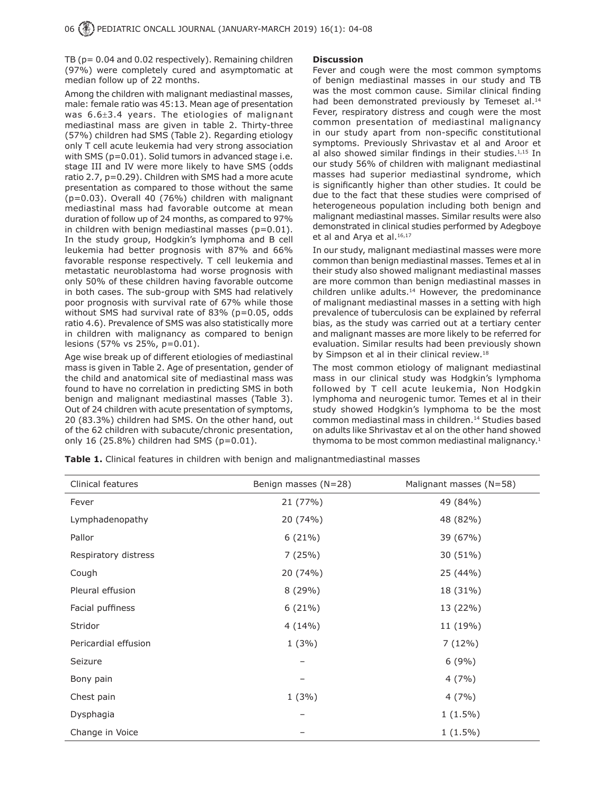TB (p= 0.04 and 0.02 respectively). Remaining children (97%) were completely cured and asymptomatic at median follow up of 22 months.

Among the children with malignant mediastinal masses, male: female ratio was 45:13. Mean age of presentation was 6.6±3.4 years. The etiologies of malignant mediastinal mass are given in table 2. Thirty-three (57%) children had SMS (Table 2). Regarding etiology only T cell acute leukemia had very strong association with SMS (p=0.01). Solid tumors in advanced stage i.e. stage III and IV were more likely to have SMS (odds ratio 2.7, p=0.29). Children with SMS had a more acute presentation as compared to those without the same (p=0.03). Overall 40 (76%) children with malignant mediastinal mass had favorable outcome at mean duration of follow up of 24 months, as compared to 97% in children with benign mediastinal masses  $(p=0.01)$ . In the study group, Hodgkin's lymphoma and B cell leukemia had better prognosis with 87% and 66% favorable response respectively. T cell leukemia and metastatic neuroblastoma had worse prognosis with only 50% of these children having favorable outcome in both cases. The sub-group with SMS had relatively poor prognosis with survival rate of 67% while those without SMS had survival rate of 83% (p=0.05, odds ratio 4.6). Prevalence of SMS was also statistically more in children with malignancy as compared to benign lesions (57% vs 25%, p=0.01).

Age wise break up of different etiologies of mediastinal mass is given in Table 2. Age of presentation, gender of the child and anatomical site of mediastinal mass was found to have no correlation in predicting SMS in both benign and malignant mediastinal masses (Table 3). Out of 24 children with acute presentation of symptoms, 20 (83.3%) children had SMS. On the other hand, out of the 62 children with subacute/chronic presentation, only 16 (25.8%) children had SMS (p=0.01).

#### **Discussion**

Fever and cough were the most common symptoms of benign mediastinal masses in our study and TB was the most common cause. Similar clinical finding had been demonstrated previously by Temeset al.<sup>14</sup> Fever, respiratory distress and cough were the most common presentation of mediastinal malignancy in our study apart from non-specific constitutional symptoms. Previously Shrivastav et al and Aroor et al also showed similar findings in their studies. $1,15$  In our study 56% of children with malignant mediastinal masses had superior mediastinal syndrome, which is significantly higher than other studies. It could be due to the fact that these studies were comprised of heterogeneous population including both benign and malignant mediastinal masses. Similar results were also demonstrated in clinical studies performed by Adegboye et al and Arya et al.<sup>16,17</sup>

In our study, malignant mediastinal masses were more common than benign mediastinal masses. Temes et al in their study also showed malignant mediastinal masses are more common than benign mediastinal masses in children unlike adults.<sup>14</sup> However, the predominance of malignant mediastinal masses in a setting with high prevalence of tuberculosis can be explained by referral bias, as the study was carried out at a tertiary center and malignant masses are more likely to be referred for evaluation. Similar results had been previously shown by Simpson et al in their clinical review.<sup>18</sup>

The most common etiology of malignant mediastinal mass in our clinical study was Hodgkin's lymphoma followed by T cell acute leukemia, Non Hodgkin lymphoma and neurogenic tumor. Temes et al in their study showed Hodgkin's lymphoma to be the most common mediastinal mass in children.<sup>14</sup> Studies based on adults like Shrivastav et al on the other hand showed thymoma to be most common mediastinal malignancy.<sup>1</sup>

| Clinical features    | Benign masses (N=28) | Malignant masses (N=58) |
|----------------------|----------------------|-------------------------|
| Fever                | 21 (77%)             | 49 (84%)                |
| Lymphadenopathy      | 20 (74%)             | 48 (82%)                |
| Pallor               | 6(21%)               | 39 (67%)                |
| Respiratory distress | 7(25%)               | 30 (51%)                |
| Cough                | 20 (74%)             | 25 (44%)                |
| Pleural effusion     | 8(29%)               | 18 (31%)                |
| Facial puffiness     | 6(21%)               | 13 (22%)                |
| Stridor              | 4(14%)               | 11 (19%)                |
| Pericardial effusion | 1(3%)                | 7(12%)                  |
| Seizure              |                      | 6(9%)                   |
| Bony pain            |                      | 4(7%)                   |
| Chest pain           | 1(3%)                | 4(7%)                   |
| Dysphagia            |                      | $1(1.5\%)$              |
| Change in Voice      |                      | $1(1.5\%)$              |

**Table 1.** Clinical features in children with benign and malignantmediastinal masses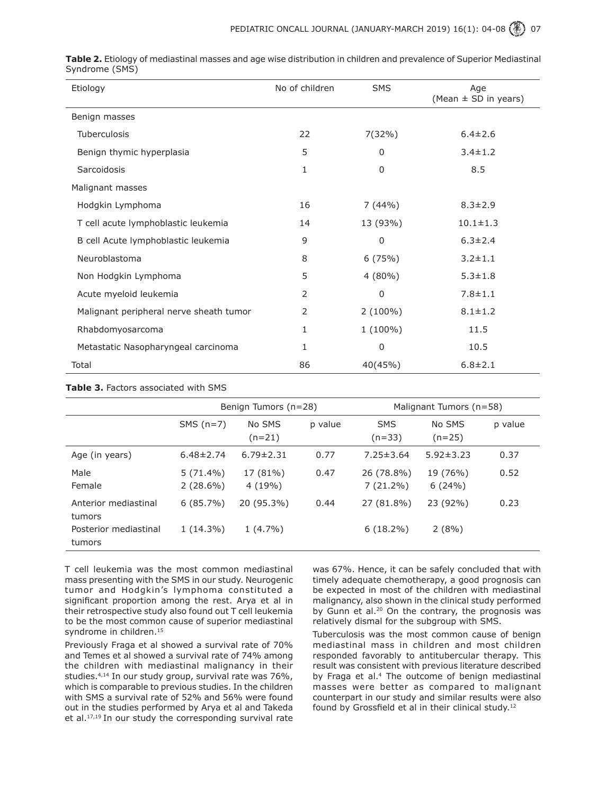| Etiology                                | No of children | <b>SMS</b>   | Age<br>(Mean $\pm$ SD in years) |  |
|-----------------------------------------|----------------|--------------|---------------------------------|--|
| Benign masses                           |                |              |                                 |  |
| Tuberculosis                            | 22             | $7(32\%)$    | $6.4 \pm 2.6$                   |  |
| Benign thymic hyperplasia               | 5              | 0            | $3.4 \pm 1.2$                   |  |
| Sarcoidosis                             | 1              | $\mathbf{0}$ | 8.5                             |  |
| Malignant masses                        |                |              |                                 |  |
| Hodgkin Lymphoma                        | 16             | 7(44%)       | $8.3 \pm 2.9$                   |  |
| T cell acute lymphoblastic leukemia     | 14             | 13 (93%)     | $10.1 \pm 1.3$                  |  |
| B cell Acute lymphoblastic leukemia     | 9              | 0            | $6.3 \pm 2.4$                   |  |
| Neuroblastoma                           | 8              | 6(75%)       | $3.2 \pm 1.1$                   |  |
| Non Hodgkin Lymphoma                    | 5              | $4(80\%)$    | $5.3 \pm 1.8$                   |  |
| Acute myeloid leukemia                  | 2              | $\Omega$     | $7.8 \pm 1.1$                   |  |
| Malignant peripheral nerve sheath tumor | $\overline{2}$ | $2(100\%)$   | $8.1 \pm 1.2$                   |  |
| Rhabdomyosarcoma                        | 1              | $1(100\%)$   | 11.5                            |  |
| Metastatic Nasopharyngeal carcinoma     | 1              | 0            | 10.5                            |  |
| Total                                   | 86             | 40(45%)      | $6.8 \pm 2.1$                   |  |

**Table 2.** Etiology of mediastinal masses and age wise distribution in children and prevalence of Superior Mediastinal Syndrome (SMS)

### **Table 3.** Factors associated with SMS

|                                 | Benign Tumors (n=28)       |                    |         | Malignant Tumors (n=58)   |                    |         |
|---------------------------------|----------------------------|--------------------|---------|---------------------------|--------------------|---------|
|                                 | $SMS(n=7)$                 | No SMS<br>$(n=21)$ | p value | <b>SMS</b><br>$(n=33)$    | No SMS<br>$(n=25)$ | p value |
| Age (in years)                  | $6.48 \pm 2.74$            | $6.79 \pm 2.31$    | 0.77    | $7.25 \pm 3.64$           | $5.92 \pm 3.23$    | 0.37    |
| Male<br>Female                  | $5(71.4\%)$<br>$2(28.6\%)$ | 17 (81%)<br>4(19%) | 0.47    | 26 (78.8%)<br>$7(21.2\%)$ | 19 (76%)<br>6(24%) | 0.52    |
| Anterior mediastinal<br>tumors  | $6(85.7\%)$                | 20 (95.3%)         | 0.44    | 27 (81.8%)                | 23 (92%)           | 0.23    |
| Posterior mediastinal<br>tumors | $1(14.3\%)$                | $1(4.7\%)$         |         | $6(18.2\%)$               | 2(8%)              |         |

T cell leukemia was the most common mediastinal mass presenting with the SMS in our study. Neurogenic tumor and Hodgkin's lymphoma constituted a significant proportion among the rest. Arya et al in their retrospective study also found out T cell leukemia to be the most common cause of superior mediastinal syndrome in children.<sup>15</sup>

Previously Fraga et al showed a survival rate of 70% and Temes et al showed a survival rate of 74% among the children with mediastinal malignancy in their studies.<sup>4,14</sup> In our study group, survival rate was 76%, which is comparable to previous studies. In the children with SMS a survival rate of 52% and 56% were found out in the studies performed by Arya et al and Takeda et al.<sup>17,19</sup> In our study the corresponding survival rate

was 67%. Hence, it can be safely concluded that with timely adequate chemotherapy, a good prognosis can be expected in most of the children with mediastinal malignancy, also shown in the clinical study performed by Gunn et al. $20$  On the contrary, the prognosis was relatively dismal for the subgroup with SMS.

Tuberculosis was the most common cause of benign mediastinal mass in children and most children responded favorably to antitubercular therapy. This result was consistent with previous literature described by Fraga et al.<sup>4</sup> The outcome of benign mediastinal masses were better as compared to malignant counterpart in our study and similar results were also found by Grossfield et al in their clinical study.<sup>12</sup>